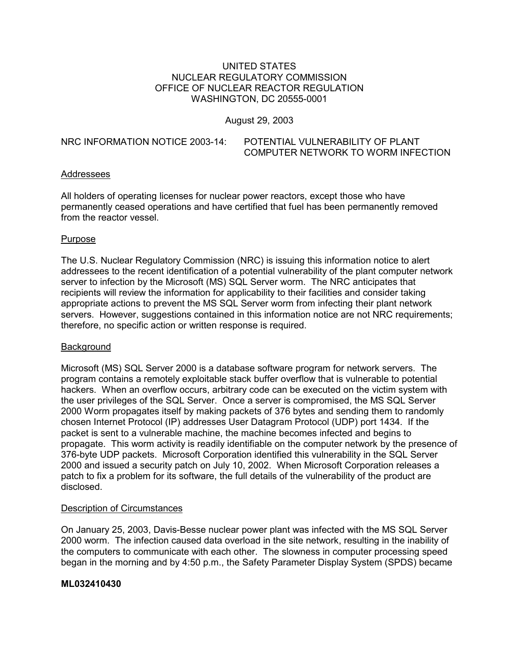# UNITED STATES NUCLEAR REGULATORY COMMISSION OFFICE OF NUCLEAR REACTOR REGULATION WASHINGTON, DC 20555-0001

August 29, 2003

| NRC INFORMATION NOTICE 2003-14: | POTENTIAL VULNERABILITY OF PLANT   |
|---------------------------------|------------------------------------|
|                                 | COMPUTER NETWORK TO WORM INFECTION |

# Addressees

All holders of operating licenses for nuclear power reactors, except those who have permanently ceased operations and have certified that fuel has been permanently removed from the reactor vessel.

### **Purpose**

The U.S. Nuclear Regulatory Commission (NRC) is issuing this information notice to alert addressees to the recent identification of a potential vulnerability of the plant computer network server to infection by the Microsoft (MS) SQL Server worm. The NRC anticipates that recipients will review the information for applicability to their facilities and consider taking appropriate actions to prevent the MS SQL Server worm from infecting their plant network servers. However, suggestions contained in this information notice are not NRC requirements; therefore, no specific action or written response is required.

### Background

Microsoft (MS) SQL Server 2000 is a database software program for network servers. The program contains a remotely exploitable stack buffer overflow that is vulnerable to potential hackers. When an overflow occurs, arbitrary code can be executed on the victim system with the user privileges of the SQL Server. Once a server is compromised, the MS SQL Server 2000 Worm propagates itself by making packets of 376 bytes and sending them to randomly chosen Internet Protocol (IP) addresses User Datagram Protocol (UDP) port 1434. If the packet is sent to a vulnerable machine, the machine becomes infected and begins to propagate. This worm activity is readily identifiable on the computer network by the presence of 376-byte UDP packets. Microsoft Corporation identified this vulnerability in the SQL Server 2000 and issued a security patch on July 10, 2002. When Microsoft Corporation releases a patch to fix a problem for its software, the full details of the vulnerability of the product are disclosed.

### Description of Circumstances

On January 25, 2003, Davis-Besse nuclear power plant was infected with the MS SQL Server 2000 worm. The infection caused data overload in the site network, resulting in the inability of the computers to communicate with each other. The slowness in computer processing speed began in the morning and by 4:50 p.m., the Safety Parameter Display System (SPDS) became

### **ML032410430**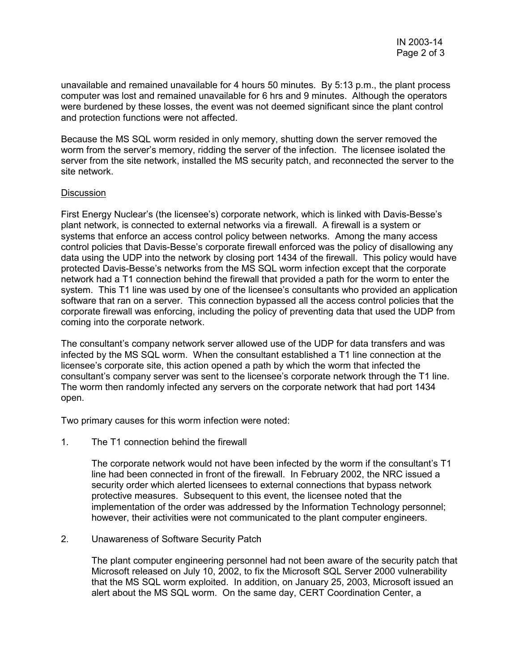unavailable and remained unavailable for 4 hours 50 minutes. By 5:13 p.m., the plant process computer was lost and remained unavailable for 6 hrs and 9 minutes. Although the operators were burdened by these losses, the event was not deemed significant since the plant control and protection functions were not affected.

Because the MS SQL worm resided in only memory, shutting down the server removed the worm from the server's memory, ridding the server of the infection. The licensee isolated the server from the site network, installed the MS security patch, and reconnected the server to the site network.

# **Discussion**

First Energy Nuclear's (the licensee's) corporate network, which is linked with Davis-Besse's plant network, is connected to external networks via a firewall. A firewall is a system or systems that enforce an access control policy between networks. Among the many access control policies that Davis-Besse's corporate firewall enforced was the policy of disallowing any data using the UDP into the network by closing port 1434 of the firewall. This policy would have protected Davis-Besse's networks from the MS SQL worm infection except that the corporate network had a T1 connection behind the firewall that provided a path for the worm to enter the system. This T1 line was used by one of the licensee's consultants who provided an application software that ran on a server. This connection bypassed all the access control policies that the corporate firewall was enforcing, including the policy of preventing data that used the UDP from coming into the corporate network.

The consultant's company network server allowed use of the UDP for data transfers and was infected by the MS SQL worm. When the consultant established a T1 line connection at the licensee's corporate site, this action opened a path by which the worm that infected the consultant's company server was sent to the licensee's corporate network through the T1 line. The worm then randomly infected any servers on the corporate network that had port 1434 open.

Two primary causes for this worm infection were noted:

1. The T1 connection behind the firewall

The corporate network would not have been infected by the worm if the consultant's T1 line had been connected in front of the firewall. In February 2002, the NRC issued a security order which alerted licensees to external connections that bypass network protective measures. Subsequent to this event, the licensee noted that the implementation of the order was addressed by the Information Technology personnel; however, their activities were not communicated to the plant computer engineers.

### 2. Unawareness of Software Security Patch

The plant computer engineering personnel had not been aware of the security patch that Microsoft released on July 10, 2002, to fix the Microsoft SQL Server 2000 vulnerability that the MS SQL worm exploited. In addition, on January 25, 2003, Microsoft issued an alert about the MS SQL worm. On the same day, CERT Coordination Center, a